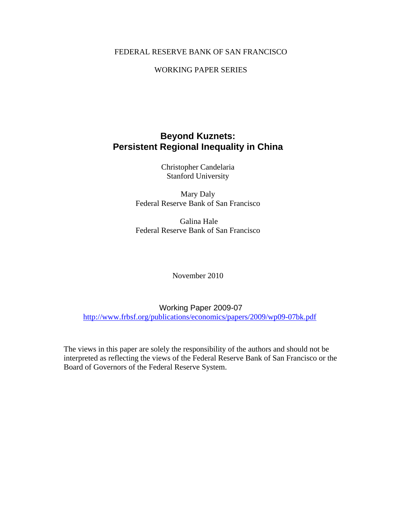## FEDERAL RESERVE BANK OF SAN FRANCISCO

## WORKING PAPER SERIES

# **Beyond Kuznets: Persistent Regional Inequality in China**

Christopher Candelaria Stanford University

Mary Daly Federal Reserve Bank of San Francisco

 Galina Hale Federal Reserve Bank of San Francisco

November 2010

Working Paper 2009-07 http://www.frbsf.org/publications/economics/papers/2009/wp09-07bk.pdf

The views in this paper are solely the responsibility of the authors and should not be interpreted as reflecting the views of the Federal Reserve Bank of San Francisco or the Board of Governors of the Federal Reserve System.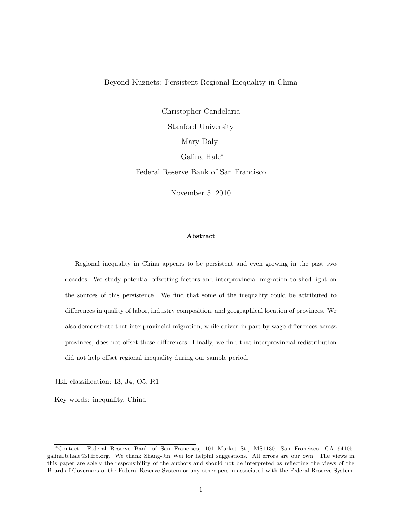#### Beyond Kuznets: Persistent Regional Inequality in China

Christopher Candelaria Stanford University Mary Daly Galina Hale<sup>∗</sup> Federal Reserve Bank of San Francisco

November 5, 2010

#### Abstract

Regional inequality in China appears to be persistent and even growing in the past two decades. We study potential offsetting factors and interprovincial migration to shed light on the sources of this persistence. We find that some of the inequality could be attributed to differences in quality of labor, industry composition, and geographical location of provinces. We also demonstrate that interprovincial migration, while driven in part by wage differences across provinces, does not offset these differences. Finally, we find that interprovincial redistribution did not help offset regional inequality during our sample period.

JEL classification: I3, J4, O5, R1

Key words: inequality, China

<sup>∗</sup>Contact: Federal Reserve Bank of San Francisco, 101 Market St., MS1130, San Francisco, CA 94105. galina.b.hale@sf.frb.org. We thank Shang-Jin Wei for helpful suggestions. All errors are our own. The views in this paper are solely the responsibility of the authors and should not be interpreted as reflecting the views of the Board of Governors of the Federal Reserve System or any other person associated with the Federal Reserve System.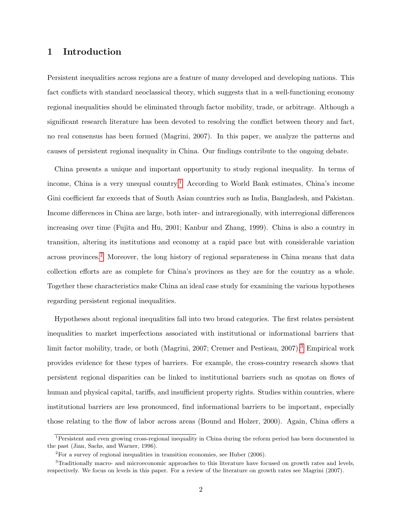## 1 Introduction

Persistent inequalities across regions are a feature of many developed and developing nations. This fact conflicts with standard neoclassical theory, which suggests that in a well-functioning economy regional inequalities should be eliminated through factor mobility, trade, or arbitrage. Although a significant research literature has been devoted to resolving the conflict between theory and fact, no real consensus has been formed (Magrini, 2007). In this paper, we analyze the patterns and causes of persistent regional inequality in China. Our findings contribute to the ongoing debate.

China presents a unique and important opportunity to study regional inequality. In terms of income, China is a very unequal country.<sup>[1](#page-2-0)</sup> According to World Bank estimates, China's income Gini coefficient far exceeds that of South Asian countries such as India, Bangladesh, and Pakistan. Income differences in China are large, both inter- and intraregionally, with interregional differences increasing over time (Fujita and Hu, 2001; Kanbur and Zhang, 1999). China is also a country in transition, altering its institutions and economy at a rapid pace but with considerable variation across provinces.[2](#page-2-1) Moreover, the long history of regional separateness in China means that data collection efforts are as complete for China's provinces as they are for the country as a whole. Together these characteristics make China an ideal case study for examining the various hypotheses regarding persistent regional inequalities.

Hypotheses about regional inequalities fall into two broad categories. The first relates persistent inequalities to market imperfections associated with institutional or informational barriers that limit factor mobility, trade, or both (Magrini, 2007; Cremer and Pestieau, 2007).<sup>[3](#page-2-2)</sup> Empirical work provides evidence for these types of barriers. For example, the cross-country research shows that persistent regional disparities can be linked to institutional barriers such as quotas on flows of human and physical capital, tariffs, and insufficient property rights. Studies within countries, where institutional barriers are less pronounced, find informational barriers to be important, especially those relating to the flow of labor across areas (Bound and Holzer, 2000). Again, China offers a

<span id="page-2-0"></span><sup>1</sup>Persistent and even growing cross-regional inequality in China during the reform period has been documented in the past (Jian, Sachs, and Warner, 1996).

<span id="page-2-2"></span><span id="page-2-1"></span><sup>2</sup>For a survey of regional inequalities in transition economies, see Huber (2006).

<sup>3</sup>Traditionally macro- and microeconomic approaches to this literature have focused on growth rates and levels, respectively. We focus on levels in this paper. For a review of the literature on growth rates see Magrini (2007).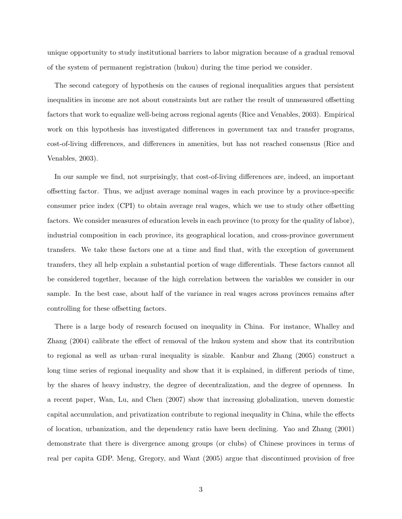unique opportunity to study institutional barriers to labor migration because of a gradual removal of the system of permanent registration (hukou) during the time period we consider.

The second category of hypothesis on the causes of regional inequalities argues that persistent inequalities in income are not about constraints but are rather the result of unmeasured offsetting factors that work to equalize well-being across regional agents (Rice and Venables, 2003). Empirical work on this hypothesis has investigated differences in government tax and transfer programs, cost-of-living differences, and differences in amenities, but has not reached consensus (Rice and Venables, 2003).

In our sample we find, not surprisingly, that cost-of-living differences are, indeed, an important offsetting factor. Thus, we adjust average nominal wages in each province by a province-specific consumer price index (CPI) to obtain average real wages, which we use to study other offsetting factors. We consider measures of education levels in each province (to proxy for the quality of labor), industrial composition in each province, its geographical location, and cross-province government transfers. We take these factors one at a time and find that, with the exception of government transfers, they all help explain a substantial portion of wage differentials. These factors cannot all be considered together, because of the high correlation between the variables we consider in our sample. In the best case, about half of the variance in real wages across provinces remains after controlling for these offsetting factors.

There is a large body of research focused on inequality in China. For instance, Whalley and Zhang (2004) calibrate the effect of removal of the hukou system and show that its contribution to regional as well as urban–rural inequality is sizable. Kanbur and Zhang (2005) construct a long time series of regional inequality and show that it is explained, in different periods of time, by the shares of heavy industry, the degree of decentralization, and the degree of openness. In a recent paper, Wan, Lu, and Chen (2007) show that increasing globalization, uneven domestic capital accumulation, and privatization contribute to regional inequality in China, while the effects of location, urbanization, and the dependency ratio have been declining. Yao and Zhang (2001) demonstrate that there is divergence among groups (or clubs) of Chinese provinces in terms of real per capita GDP. Meng, Gregory, and Want (2005) argue that discontinued provision of free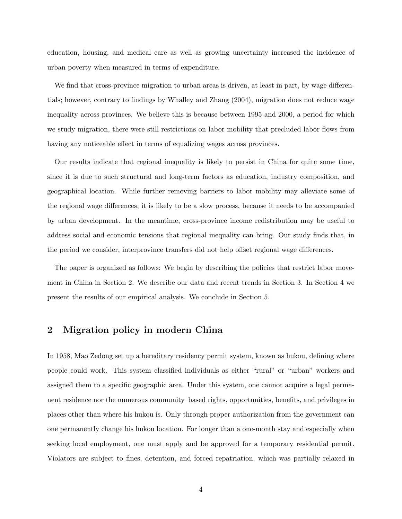education, housing, and medical care as well as growing uncertainty increased the incidence of urban poverty when measured in terms of expenditure.

We find that cross-province migration to urban areas is driven, at least in part, by wage differentials; however, contrary to findings by Whalley and Zhang (2004), migration does not reduce wage inequality across provinces. We believe this is because between 1995 and 2000, a period for which we study migration, there were still restrictions on labor mobility that precluded labor flows from having any noticeable effect in terms of equalizing wages across provinces.

Our results indicate that regional inequality is likely to persist in China for quite some time, since it is due to such structural and long-term factors as education, industry composition, and geographical location. While further removing barriers to labor mobility may alleviate some of the regional wage differences, it is likely to be a slow process, because it needs to be accompanied by urban development. In the meantime, cross-province income redistribution may be useful to address social and economic tensions that regional inequality can bring. Our study finds that, in the period we consider, interprovince transfers did not help offset regional wage differences.

The paper is organized as follows: We begin by describing the policies that restrict labor movement in China in Section 2. We describe our data and recent trends in Section 3. In Section 4 we present the results of our empirical analysis. We conclude in Section 5.

### 2 Migration policy in modern China

In 1958, Mao Zedong set up a hereditary residency permit system, known as hukou, defining where people could work. This system classified individuals as either "rural" or "urban" workers and assigned them to a specific geographic area. Under this system, one cannot acquire a legal permanent residence nor the numerous community–based rights, opportunities, benefits, and privileges in places other than where his hukou is. Only through proper authorization from the government can one permanently change his hukou location. For longer than a one-month stay and especially when seeking local employment, one must apply and be approved for a temporary residential permit. Violators are subject to fines, detention, and forced repatriation, which was partially relaxed in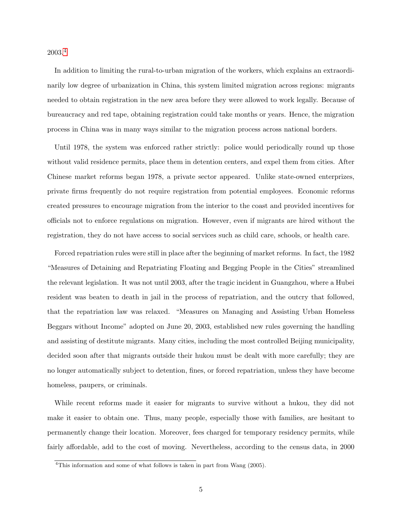2003.[4](#page-5-0)

In addition to limiting the rural-to-urban migration of the workers, which explains an extraordinarily low degree of urbanization in China, this system limited migration across regions: migrants needed to obtain registration in the new area before they were allowed to work legally. Because of bureaucracy and red tape, obtaining registration could take months or years. Hence, the migration process in China was in many ways similar to the migration process across national borders.

Until 1978, the system was enforced rather strictly: police would periodically round up those without valid residence permits, place them in detention centers, and expel them from cities. After Chinese market reforms began 1978, a private sector appeared. Unlike state-owned enterprizes, private firms frequently do not require registration from potential employees. Economic reforms created pressures to encourage migration from the interior to the coast and provided incentives for officials not to enforce regulations on migration. However, even if migrants are hired without the registration, they do not have access to social services such as child care, schools, or health care.

Forced repatriation rules were still in place after the beginning of market reforms. In fact, the 1982 "Measures of Detaining and Repatriating Floating and Begging People in the Cities" streamlined the relevant legislation. It was not until 2003, after the tragic incident in Guangzhou, where a Hubei resident was beaten to death in jail in the process of repatriation, and the outcry that followed, that the repatriation law was relaxed. "Measures on Managing and Assisting Urban Homeless Beggars without Income" adopted on June 20, 2003, established new rules governing the handling and assisting of destitute migrants. Many cities, including the most controlled Beijing municipality, decided soon after that migrants outside their hukou must be dealt with more carefully; they are no longer automatically subject to detention, fines, or forced repatriation, unless they have become homeless, paupers, or criminals.

While recent reforms made it easier for migrants to survive without a hukou, they did not make it easier to obtain one. Thus, many people, especially those with families, are hesitant to permanently change their location. Moreover, fees charged for temporary residency permits, while fairly affordable, add to the cost of moving. Nevertheless, according to the census data, in 2000

<span id="page-5-0"></span><sup>&</sup>lt;sup>4</sup>This information and some of what follows is taken in part from Wang (2005).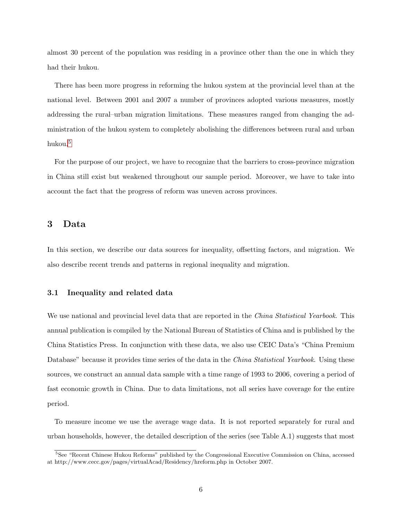almost 30 percent of the population was residing in a province other than the one in which they had their hukou.

There has been more progress in reforming the hukou system at the provincial level than at the national level. Between 2001 and 2007 a number of provinces adopted various measures, mostly addressing the rural–urban migration limitations. These measures ranged from changing the administration of the hukou system to completely abolishing the differences between rural and urban hukou.[5](#page-6-0)

For the purpose of our project, we have to recognize that the barriers to cross-province migration in China still exist but weakened throughout our sample period. Moreover, we have to take into account the fact that the progress of reform was uneven across provinces.

### 3 Data

In this section, we describe our data sources for inequality, offsetting factors, and migration. We also describe recent trends and patterns in regional inequality and migration.

#### 3.1 Inequality and related data

We use national and provincial level data that are reported in the *China Statistical Yearbook*. This annual publication is compiled by the National Bureau of Statistics of China and is published by the China Statistics Press. In conjunction with these data, we also use CEIC Data's "China Premium Database" because it provides time series of the data in the *China Statistical Yearbook*. Using these sources, we construct an annual data sample with a time range of 1993 to 2006, covering a period of fast economic growth in China. Due to data limitations, not all series have coverage for the entire period.

To measure income we use the average wage data. It is not reported separately for rural and urban households, however, the detailed description of the series (see Table A.1) suggests that most

<span id="page-6-0"></span><sup>&</sup>lt;sup>5</sup>See "Recent Chinese Hukou Reforms" published by the Congressional Executive Commission on China, accessed at http://www.cecc.gov/pages/virtualAcad/Residency/hreform.php in October 2007.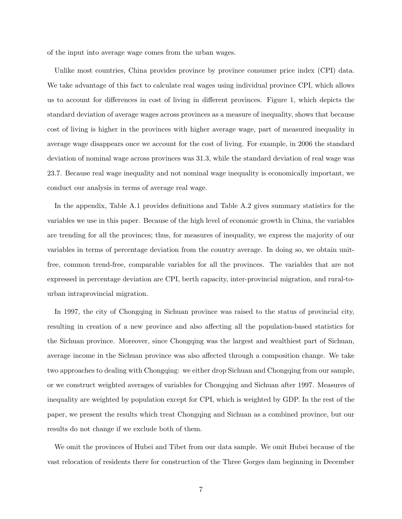of the input into average wage comes from the urban wages.

Unlike most countries, China provides province by province consumer price index (CPI) data. We take advantage of this fact to calculate real wages using individual province CPI, which allows us to account for differences in cost of living in different provinces. Figure 1, which depicts the standard deviation of average wages across provinces as a measure of inequality, shows that because cost of living is higher in the provinces with higher average wage, part of measured inequality in average wage disappears once we account for the cost of living. For example, in 2006 the standard deviation of nominal wage across provinces was 31.3, while the standard deviation of real wage was 23.7. Because real wage inequality and not nominal wage inequality is economically important, we conduct our analysis in terms of average real wage.

In the appendix, Table A.1 provides definitions and Table A.2 gives summary statistics for the variables we use in this paper. Because of the high level of economic growth in China, the variables are trending for all the provinces; thus, for measures of inequality, we express the majority of our variables in terms of percentage deviation from the country average. In doing so, we obtain unitfree, common trend-free, comparable variables for all the provinces. The variables that are not expressed in percentage deviation are CPI, berth capacity, inter-provincial migration, and rural-tourban intraprovincial migration.

In 1997, the city of Chongqing in Sichuan province was raised to the status of provincial city, resulting in creation of a new province and also affecting all the population-based statistics for the Sichuan province. Moreover, since Chongqing was the largest and wealthiest part of Sichuan, average income in the Sichuan province was also affected through a composition change. We take two approaches to dealing with Chongqing: we either drop Sichuan and Chongqing from our sample, or we construct weighted averages of variables for Chongqing and Sichuan after 1997. Measures of inequality are weighted by population except for CPI, which is weighted by GDP. In the rest of the paper, we present the results which treat Chongqing and Sichuan as a combined province, but our results do not change if we exclude both of them.

We omit the provinces of Hubei and Tibet from our data sample. We omit Hubei because of the vast relocation of residents there for construction of the Three Gorges dam beginning in December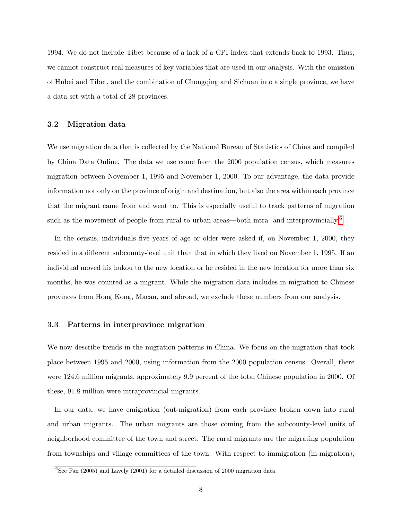1994. We do not include Tibet because of a lack of a CPI index that extends back to 1993. Thus, we cannot construct real measures of key variables that are used in our analysis. With the omission of Hubei and Tibet, and the combination of Chongqing and Sichuan into a single province, we have a data set with a total of 28 provinces.

#### 3.2 Migration data

We use migration data that is collected by the National Bureau of Statistics of China and compiled by China Data Online. The data we use come from the 2000 population census, which measures migration between November 1, 1995 and November 1, 2000. To our advantage, the data provide information not only on the province of origin and destination, but also the area within each province that the migrant came from and went to. This is especially useful to track patterns of migration such as the movement of people from rural to urban areas—both intra- and interprovincially.<sup>[6](#page-8-0)</sup>

In the census, individuals five years of age or older were asked if, on November 1, 2000, they resided in a different subcounty-level unit than that in which they lived on November 1, 1995. If an individual moved his hukou to the new location or he resided in the new location for more than six months, he was counted as a migrant. While the migration data includes in-migration to Chinese provinces from Hong Kong, Macau, and abroad, we exclude these numbers from our analysis.

#### 3.3 Patterns in interprovince migration

We now describe trends in the migration patterns in China. We focus on the migration that took place between 1995 and 2000, using information from the 2000 population census. Overall, there were 124.6 million migrants, approximately 9.9 percent of the total Chinese population in 2000. Of these, 91.8 million were intraprovincial migrants.

In our data, we have emigration (out-migration) from each province broken down into rural and urban migrants. The urban migrants are those coming from the subcounty-level units of neighborhood committee of the town and street. The rural migrants are the migrating population from townships and village committees of the town. With respect to immigration (in-migration),

<span id="page-8-0"></span> ${}^{6}$ See Fan (2005) and Lavely (2001) for a detailed discussion of 2000 migration data.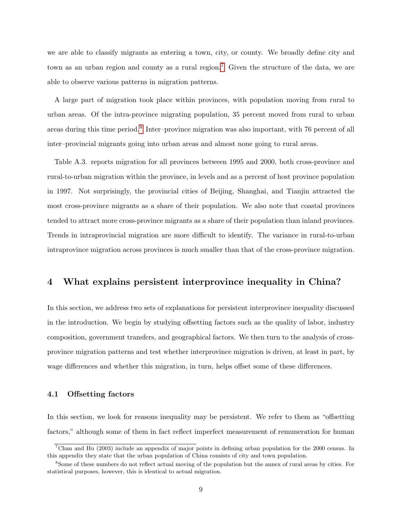we are able to classify migrants as entering a town, city, or county. We broadly define city and town as an urban region and county as a rural region.<sup>[7](#page-9-0)</sup> Given the structure of the data, we are able to observe various patterns in migration patterns.

A large part of migration took place within provinces, with population moving from rural to urban areas. Of the intra-province migrating population, 35 percent moved from rural to urban areas during this time period.<sup>[8](#page-9-1)</sup> Inter–province migration was also important, with 76 percent of all inter–provincial migrants going into urban areas and almost none going to rural areas.

Table A.3. reports migration for all provinces between 1995 and 2000, both cross-province and rural-to-urban migration within the province, in levels and as a percent of host province population in 1997. Not surprisingly, the provincial cities of Beijing, Shanghai, and Tianjin attracted the most cross-province migrants as a share of their population. We also note that coastal provinces tended to attract more cross-province migrants as a share of their population than inland provinces. Trends in intraprovincial migration are more difficult to identify. The variance in rural-to-urban intraprovince migration across provinces is much smaller than that of the cross-province migration.

# 4 What explains persistent interprovince inequality in China?

In this section, we address two sets of explanations for persistent interprovince inequality discussed in the introduction. We begin by studying offsetting factors such as the quality of labor, industry composition, government transfers, and geographical factors. We then turn to the analysis of crossprovince migration patterns and test whether interprovince migration is driven, at least in part, by wage differences and whether this migration, in turn, helps offset some of these differences.

#### 4.1 Offsetting factors

In this section, we look for reasons inequality may be persistent. We refer to them as "offsetting factors," although some of them in fact reflect imperfect measurement of remuneration for human

<span id="page-9-0"></span><sup>7</sup>Chan and Hu (2003) include an appendix of major points in defining urban population for the 2000 census. In this appendix they state that the urban population of China consists of city and town population.

<span id="page-9-1"></span><sup>8</sup>Some of these numbers do not reflect actual moving of the population but the annex of rural areas by cities. For statistical purposes, however, this is identical to actual migration.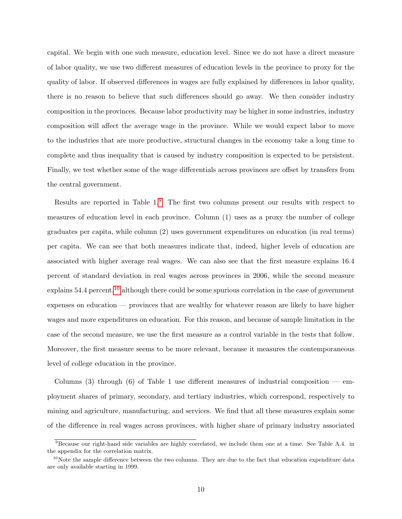capital. We begin with one such measure, education level. Since we do not have a direct measure of labor quality, we use two different measures of education levels in the province to proxy for the quality of labor. If observed differences in wages are fully explained by differences in labor quality, there is no reason to believe that such differences should go away. We then consider industry composition in the provinces. Because labor productivity may be higher in some industries, industry composition will affect the average wage in the province. While we would expect labor to move to the industries that are more productive, structural changes in the economy take a long time to complete and thus inequality that is caused by industry composition is expected to be persistent. Finally, we test whether some of the wage differentials across provinces are offset by transfers from the central government.

Results are reported in Table 1.[9](#page-10-0) The first two columns present our results with respect to measures of education level in each province. Column (1) uses as a proxy the number of college graduates per capita, while column (2) uses government expenditures on education (in real terms) per capita. We can see that both measures indicate that, indeed, higher levels of education are associated with higher average real wages. We can also see that the first measure explains 16.4 percent of standard deviation in real wages across provinces in 2006, while the second measure explains 54.4 percent,<sup>[10](#page-10-1)</sup> although there could be some spurious correlation in the case of government expenses on education — provinces that are wealthy for whatever reason are likely to have higher wages and more expenditures on education. For this reason, and because of sample limitation in the case of the second measure, we use the first measure as a control variable in the tests that follow. Moreover, the first measure seems to be more relevant, because it measures the contemporaneous level of college education in the province.

Columns  $(3)$  through  $(6)$  of Table 1 use different measures of industrial composition — employment shares of primary, secondary, and tertiary industries, which correspond, respectively to mining and agriculture, manufacturing, and services. We find that all these measures explain some of the difference in real wages across provinces, with higher share of primary industry associated

<span id="page-10-0"></span><sup>&</sup>lt;sup>9</sup>Because our right-hand side variables are highly correlated, we include them one at a time. See Table A.4. in the appendix for the correlation matrix.

<span id="page-10-1"></span> $10$ Note the sample difference between the two columns. They are due to the fact that education expenditure data are only available starting in 1999.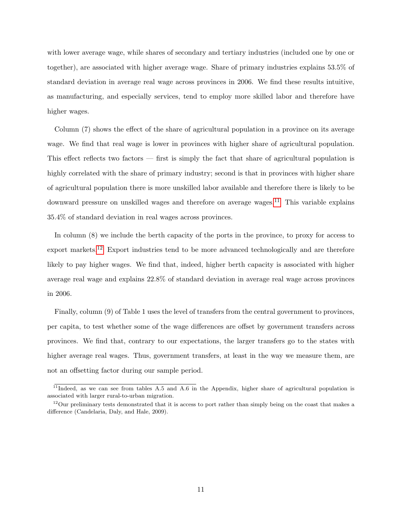with lower average wage, while shares of secondary and tertiary industries (included one by one or together), are associated with higher average wage. Share of primary industries explains 53.5% of standard deviation in average real wage across provinces in 2006. We find these results intuitive, as manufacturing, and especially services, tend to employ more skilled labor and therefore have higher wages.

Column (7) shows the effect of the share of agricultural population in a province on its average wage. We find that real wage is lower in provinces with higher share of agricultural population. This effect reflects two factors — first is simply the fact that share of agricultural population is highly correlated with the share of primary industry; second is that in provinces with higher share of agricultural population there is more unskilled labor available and therefore there is likely to be downward pressure on unskilled wages and therefore on average wages.<sup>[11](#page-11-0)</sup> This variable explains 35.4% of standard deviation in real wages across provinces.

In column (8) we include the berth capacity of the ports in the province, to proxy for access to export markets.<sup>[12](#page-11-1)</sup> Export industries tend to be more advanced technologically and are therefore likely to pay higher wages. We find that, indeed, higher berth capacity is associated with higher average real wage and explains 22.8% of standard deviation in average real wage across provinces in 2006.

Finally, column (9) of Table 1 uses the level of transfers from the central government to provinces, per capita, to test whether some of the wage differences are offset by government transfers across provinces. We find that, contrary to our expectations, the larger transfers go to the states with higher average real wages. Thus, government transfers, at least in the way we measure them, are not an offsetting factor during our sample period.

<span id="page-11-0"></span> $11$ Indeed, as we can see from tables A.5 and A.6 in the Appendix, higher share of agricultural population is associated with larger rural-to-urban migration.

<span id="page-11-1"></span> $12$ Our preliminary tests demonstrated that it is access to port rather than simply being on the coast that makes a difference (Candelaria, Daly, and Hale, 2009).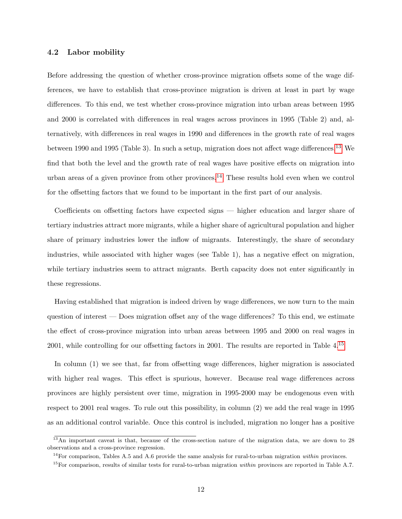#### 4.2 Labor mobility

Before addressing the question of whether cross-province migration offsets some of the wage differences, we have to establish that cross-province migration is driven at least in part by wage differences. To this end, we test whether cross-province migration into urban areas between 1995 and 2000 is correlated with differences in real wages across provinces in 1995 (Table 2) and, alternatively, with differences in real wages in 1990 and differences in the growth rate of real wages between 1990 and 1995 (Table 3). In such a setup, migration does not affect wage differences.<sup>[13](#page-12-0)</sup> We find that both the level and the growth rate of real wages have positive effects on migration into urban areas of a given province from other provinces.<sup>[14](#page-12-1)</sup> These results hold even when we control for the offsetting factors that we found to be important in the first part of our analysis.

Coefficients on offsetting factors have expected signs — higher education and larger share of tertiary industries attract more migrants, while a higher share of agricultural population and higher share of primary industries lower the inflow of migrants. Interestingly, the share of secondary industries, while associated with higher wages (see Table 1), has a negative effect on migration, while tertiary industries seem to attract migrants. Berth capacity does not enter significantly in these regressions.

Having established that migration is indeed driven by wage differences, we now turn to the main question of interest — Does migration offset any of the wage differences? To this end, we estimate the effect of cross-province migration into urban areas between 1995 and 2000 on real wages in 2001, while controlling for our offsetting factors in 2001. The results are reported in Table 4.[15](#page-12-2)

In column (1) we see that, far from offsetting wage differences, higher migration is associated with higher real wages. This effect is spurious, however. Because real wage differences across provinces are highly persistent over time, migration in 1995-2000 may be endogenous even with respect to 2001 real wages. To rule out this possibility, in column (2) we add the real wage in 1995 as an additional control variable. Once this control is included, migration no longer has a positive

<span id="page-12-0"></span> $^{13}$ An important caveat is that, because of the cross-section nature of the migration data, we are down to 28 observations and a cross-province regression.

<span id="page-12-1"></span><sup>&</sup>lt;sup>14</sup>For comparison, Tables A.5 and A.6 provide the same analysis for rural-to-urban migration *within* provinces.

<span id="page-12-2"></span> $15$  For comparison, results of similar tests for rural-to-urban migration within provinces are reported in Table A.7.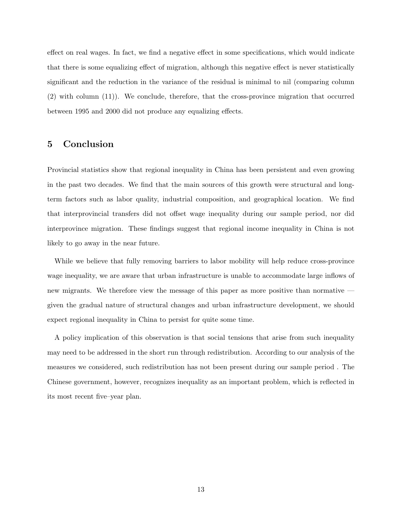effect on real wages. In fact, we find a negative effect in some specifications, which would indicate that there is some equalizing effect of migration, although this negative effect is never statistically significant and the reduction in the variance of the residual is minimal to nil (comparing column (2) with column (11)). We conclude, therefore, that the cross-province migration that occurred between 1995 and 2000 did not produce any equalizing effects.

## 5 Conclusion

Provincial statistics show that regional inequality in China has been persistent and even growing in the past two decades. We find that the main sources of this growth were structural and longterm factors such as labor quality, industrial composition, and geographical location. We find that interprovincial transfers did not offset wage inequality during our sample period, nor did interprovince migration. These findings suggest that regional income inequality in China is not likely to go away in the near future.

While we believe that fully removing barriers to labor mobility will help reduce cross-province wage inequality, we are aware that urban infrastructure is unable to accommodate large inflows of new migrants. We therefore view the message of this paper as more positive than normative given the gradual nature of structural changes and urban infrastructure development, we should expect regional inequality in China to persist for quite some time.

A policy implication of this observation is that social tensions that arise from such inequality may need to be addressed in the short run through redistribution. According to our analysis of the measures we considered, such redistribution has not been present during our sample period . The Chinese government, however, recognizes inequality as an important problem, which is reflected in its most recent five–year plan.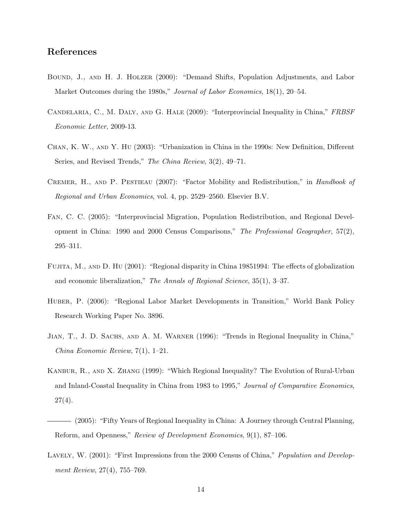# References

- Bound, J., and H. J. Holzer (2000): "Demand Shifts, Population Adjustments, and Labor Market Outcomes during the 1980s," *Journal of Labor Economics*, 18(1), 20–54.
- Candelaria, C., M. Daly, and G. Hale (2009): "Interprovincial Inequality in China," FRBSF Economic Letter, 2009-13.
- Chan, K. W., and Y. Hu (2003): "Urbanization in China in the 1990s: New Definition, Different Series, and Revised Trends," The China Review, 3(2), 49–71.
- CREMER, H., AND P. PESTIEAU (2007): "Factor Mobility and Redistribution," in *Handbook of* Regional and Urban Economics, vol. 4, pp. 2529–2560. Elsevier B.V.
- Fan, C. C. (2005): "Interprovincial Migration, Population Redistribution, and Regional Development in China: 1990 and 2000 Census Comparisons," The Professional Geographer, 57(2), 295–311.
- Fujita, M., and D. Hu (2001): "Regional disparity in China 19851994: The effects of globalization and economic liberalization," The Annals of Regional Science, 35(1), 3–37.
- Huber, P. (2006): "Regional Labor Market Developments in Transition," World Bank Policy Research Working Paper No. 3896.
- Jian, T., J. D. Sachs, and A. M. Warner (1996): "Trends in Regional Inequality in China," China Economic Review, 7(1), 1–21.
- Kanbur, R., and X. Zhang (1999): "Which Regional Inequality? The Evolution of Rural-Urban and Inland-Coastal Inequality in China from 1983 to 1995," Journal of Comparative Economics,  $27(4)$ .
- (2005): "Fifty Years of Regional Inequality in China: A Journey through Central Planning, Reform, and Openness," Review of Development Economics, 9(1), 87–106.
- LAVELY, W. (2001): "First Impressions from the 2000 Census of China," *Population and Develop*ment Review, 27(4), 755–769.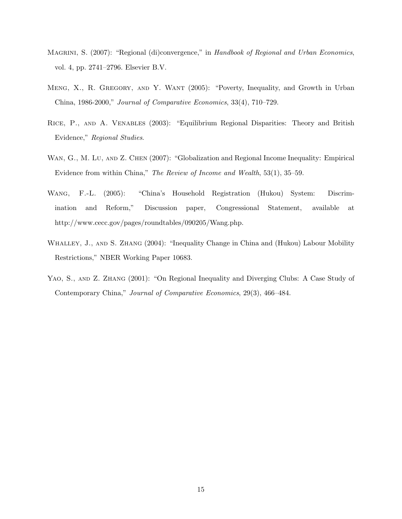- MAGRINI, S. (2007): "Regional (di)convergence," in Handbook of Regional and Urban Economics, vol. 4, pp. 2741–2796. Elsevier B.V.
- Meng, X., R. Gregory, and Y. Want (2005): "Poverty, Inequality, and Growth in Urban China, 1986-2000," Journal of Comparative Economics, 33(4), 710–729.
- Rice, P., and A. Venables (2003): "Equilibrium Regional Disparities: Theory and British Evidence," Regional Studies.
- WAN, G., M. LU, AND Z. CHEN (2007): "Globalization and Regional Income Inequality: Empirical Evidence from within China," The Review of Income and Wealth, 53(1), 35–59.
- Wang, F.-L. (2005): "China's Household Registration (Hukou) System: Discrimination and Reform," Discussion paper, Congressional Statement, available at http://www.cecc.gov/pages/roundtables/090205/Wang.php.
- WHALLEY, J., AND S. ZHANG (2004): "Inequality Change in China and (Hukou) Labour Mobility Restrictions," NBER Working Paper 10683.
- YAO, S., AND Z. ZHANG (2001): "On Regional Inequality and Diverging Clubs: A Case Study of Contemporary China," Journal of Comparative Economics, 29(3), 466–484.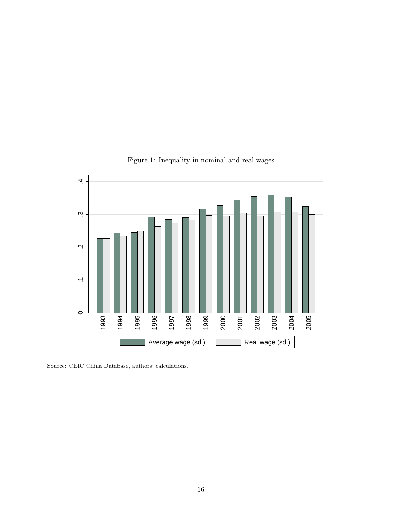

Figure 1: Inequality in nominal and real wages

Source: CEIC China Database, authors' calculations.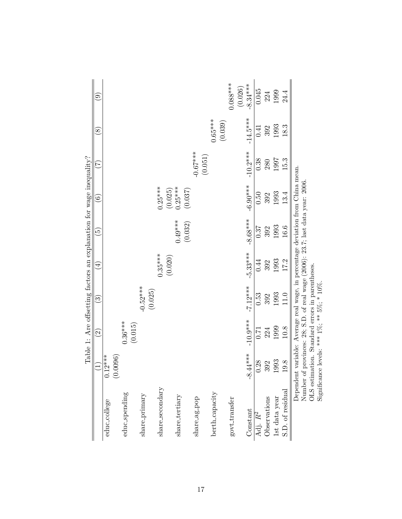|                  |            | Table 1: Are offsetting factors an explanation for wage inequality?                                                                                              |                       |                         |                            |                      |                   |               |            |
|------------------|------------|------------------------------------------------------------------------------------------------------------------------------------------------------------------|-----------------------|-------------------------|----------------------------|----------------------|-------------------|---------------|------------|
|                  | $\Xi$      | $\widehat{\Omega}$                                                                                                                                               | $\odot$               | $\widehat{\mathcal{A}}$ | $\widetilde{\mathfrak{G}}$ | $\widehat{\odot}$    | $\widetilde{\Xi}$ | $\circledast$ | ම          |
| educ_college     | $0.12***$  |                                                                                                                                                                  |                       |                         |                            |                      |                   |               |            |
|                  | (0.0096)   |                                                                                                                                                                  |                       |                         |                            |                      |                   |               |            |
| educ_spending    |            | $0.36***$<br>(0.015)                                                                                                                                             |                       |                         |                            |                      |                   |               |            |
| share_primary    |            |                                                                                                                                                                  | $-0.52***$<br>(0.025) |                         |                            |                      |                   |               |            |
| share_secondary  |            |                                                                                                                                                                  |                       | $0.35***$               |                            | $0.25***$            |                   |               |            |
| share_tertiary   |            |                                                                                                                                                                  |                       | (0.020)                 | $0.49***$                  | $0.25***$<br>(0.025) |                   |               |            |
|                  |            |                                                                                                                                                                  |                       |                         | (0.032)                    | (0.037)              |                   |               |            |
| share-ag-pop     |            |                                                                                                                                                                  |                       |                         |                            |                      | $-0.67***$        |               |            |
|                  |            |                                                                                                                                                                  |                       |                         |                            |                      | (0.051)           |               |            |
| berth_capacity   |            |                                                                                                                                                                  |                       |                         |                            |                      |                   | $0.65***$     |            |
| govt_transfer    |            |                                                                                                                                                                  |                       |                         |                            |                      |                   | (0.039)       | $0.088***$ |
|                  |            |                                                                                                                                                                  |                       |                         |                            |                      |                   |               | (0.026)    |
| Constant         | $-8.44***$ | $-10.9***$                                                                                                                                                       | $-7.12***$            | $-5.33***$              | $-8.68***$                 | $-6.90***$           | $-10.2***$        | $-14.5***$    | $-8.34***$ |
| Adj. $R^2$       | 0.28       | 0.71                                                                                                                                                             | 0.53                  | 0.44                    | 0.37                       | 0.50                 | 0.38              | 0.41          | 0.045      |
| Observations     | 392        | 224                                                                                                                                                              | 392                   | 392                     | 392                        | 392                  | 280               | 392           | 224        |
| 1st data year    | 1993       | 1999                                                                                                                                                             | 1993                  | 1993                    | 1993                       | 1993                 | 1997              | 1993          | 1999       |
| S.D. of residual | 19.8       | $10.8$                                                                                                                                                           | 11.0                  | 17.2                    | 16.6                       | 13.4                 | 15.3              | 18.3          | 24.4       |
| Number of        |            | Dependent variable: Average real wage, in percentage deviation from China mean.<br>movinces: $28$ : S.D. of real wage $(2006)$ : $23.7$ : last data year: $2006$ |                       |                         |                            |                      |                   |               |            |

Number of provinces: 28; S.D. of real wage (2006): 23.7; last data year: 2006.  $\frac{5}{2}$  $\frac{1}{2}$ Number of provinces: 28; S.D. of real wage (2006): .<br>OLS estimation. Standard errors in parentheses.<br>Significance levels: \*\*\* 1%; \*\* 5%; \* 10%.

OLS estimation. Standard errors in parentheses.

Significance levels: \*\*\*  $1\%$ ; \*\*  $5\%$ ; \*  $10\%$ .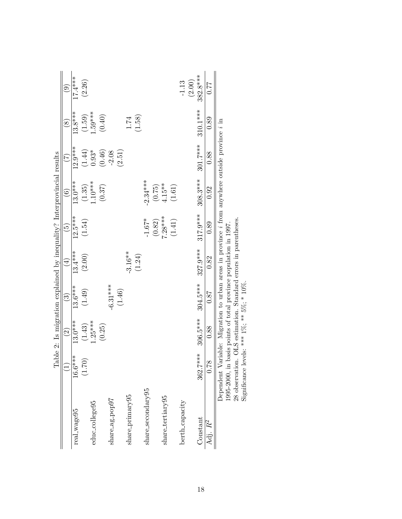|                   |           |                    | Table 2: Is migration explained by inequality? Interprovincial results                                       |                         |                          |                     |                      |                     |           |
|-------------------|-----------|--------------------|--------------------------------------------------------------------------------------------------------------|-------------------------|--------------------------|---------------------|----------------------|---------------------|-----------|
|                   |           | $\widehat{\Omega}$ | $\widehat{\mathbb{C}}$                                                                                       | $\widehat{\mathcal{A}}$ | $\widehat{\mathfrak{G}}$ | $\widehat{6}$       | E                    | $\widehat{\otimes}$ | ම         |
| real_wage95       | $16.6***$ | $13.0***$          | $13.6***$                                                                                                    | $13.4***$               | $12.5***$                | $13.0***$           | $12.9***$            | $13.8***$           | $17.4***$ |
|                   | (1.70)    | (1.43)             | (1.49)                                                                                                       | (2.00)                  | (1.54)                   | $(1.35)$<br>1.10*** | $\left( 1.44\right)$ | (1.59)              | (2.26)    |
| educ_college95    |           | $1.25***$          |                                                                                                              |                         |                          |                     | $0.93*$              | $1.59***$           |           |
|                   |           | (0.25)             |                                                                                                              |                         |                          | (0.37)              | (0.46)               | (0.40)              |           |
| share_ag_pop97    |           |                    | $-6.31***$                                                                                                   |                         |                          |                     | $-2.08$              |                     |           |
|                   |           |                    | (1.46)                                                                                                       |                         |                          |                     | (2.51)               |                     |           |
| share-primary95   |           |                    |                                                                                                              | $-3.16**$               |                          |                     |                      | $1.74\,$            |           |
|                   |           |                    |                                                                                                              | (1.24)                  |                          |                     |                      | (1.58)              |           |
| share_secondary95 |           |                    |                                                                                                              |                         | $-1.67*$                 | $-2.34***$          |                      |                     |           |
|                   |           |                    |                                                                                                              |                         | (0.82)                   | (0.75)              |                      |                     |           |
| share_tertiary95  |           |                    |                                                                                                              |                         | $7.28***$                | $4.15***$           |                      |                     |           |
|                   |           |                    |                                                                                                              |                         | (1.41)                   | (1.61)              |                      |                     |           |
| berth_capacity    |           |                    |                                                                                                              |                         |                          |                     |                      |                     | $-1.13$   |
|                   |           |                    |                                                                                                              |                         |                          |                     |                      |                     | (2.00)    |
| Constant          | 362.7***  | $306.5***$         | $304.5***$                                                                                                   | 327.9***                | $317.9***$               | $308.3***$          | $301.7***$           | 310.1***            | 382.8***  |
| Adj. $R^2$        | 0.78      | 0.88               | 0.87                                                                                                         | 0.82                    | 0.89                     | 0.92                | 0.88                 | 0.89                | 77.0      |
|                   |           |                    | Dependent Variable: Migration to urban areas in province <i>i</i> from anywhere outside province <i>i</i> in |                         |                          |                     |                      |                     |           |

1995-2000, in basis points of total province population in 1997.

1995-2000, in basis points of total province population in 1997. <br>28 observation. OLS estimation. Standard errors in parentheses. Significance levels: \*\*\* 1%; \*\* 5%; \* 10%. 28 observation. OLS estimation. Standard errors in parentheses.

Significance levels:  $***$  1%;  $**$  5%;  $*$  10%.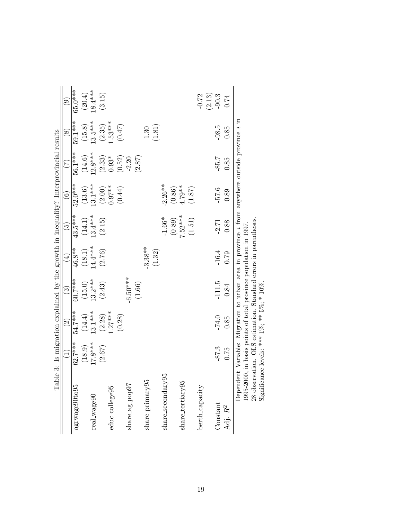| Tabl                | $\widehat{\Xi}$    | $\widehat{c}$                          | e 3: Is migration explained by the growth in inequality? Interprovincial results<br>$\binom{3}{2}$ | $(\pm)$              | $\widetilde{G}$     | $\widehat{\odot}$   | (7)                 | $\circledS$          | ම                    |
|---------------------|--------------------|----------------------------------------|----------------------------------------------------------------------------------------------------|----------------------|---------------------|---------------------|---------------------|----------------------|----------------------|
| agrwage90to95       | $62.7***$          | 54.7***                                | 60.7***                                                                                            | $46.8**$             | $43.5***$           | 52.0***             | 56.1***             | 59.1***              | 65.0***              |
|                     | (18.9)             |                                        |                                                                                                    |                      |                     |                     |                     |                      |                      |
| real_wage90         | $17.8***$          | $(14.4)$<br>13.1***                    | $(15.0)$<br>13.2***                                                                                | $(18.1)$<br>14.4 *** | $(14.1)$<br>13.4*** | $(13.6)$<br>13.1*** | $(14.6)$<br>12.8*** | $(15.8)$<br>13.5 *** | $(20.4)$<br>18.4 *** |
|                     | (2.67)             | (2.28)                                 | (2.43)                                                                                             | (2.76)               | (2.15)              | $(2.00)$<br>0.97**  | $(2.33)$<br>$0.93*$ |                      | (3.15)               |
| educ_college95      |                    | $1.27***$                              |                                                                                                    |                      |                     |                     |                     | $(2.35)$<br>1.53***  |                      |
|                     |                    | (0.28)                                 |                                                                                                    |                      |                     | (0.44)              | (0.52)              | (0.47)               |                      |
| share_ag_pop97      |                    |                                        | $-6.50***$                                                                                         |                      |                     |                     | $-2.20$             |                      |                      |
|                     |                    |                                        | (1.66)                                                                                             |                      |                     |                     | (2.87)              |                      |                      |
| share-primary95     |                    |                                        |                                                                                                    | $-3.38**$            |                     |                     |                     | 1.30                 |                      |
|                     |                    |                                        |                                                                                                    | (1.32)               |                     |                     |                     | (1.81)               |                      |
| share_secondary95   |                    |                                        |                                                                                                    |                      | $-1.66*$            | $-2.26**$           |                     |                      |                      |
|                     |                    |                                        |                                                                                                    |                      |                     | $(0.86)$            |                     |                      |                      |
| share_tertiary95    |                    |                                        |                                                                                                    |                      | $(0.89)$<br>7.52*** | $4.79***$           |                     |                      |                      |
|                     |                    |                                        |                                                                                                    |                      | (1.51)              | (1.87)              |                     |                      |                      |
| berth_capacity      |                    |                                        |                                                                                                    |                      |                     |                     |                     |                      | $-0.72$              |
|                     |                    |                                        |                                                                                                    |                      |                     |                     |                     |                      | (2.13)               |
| Constant            | $-87.3$            | $-74.0$                                | $-111.5$                                                                                           | $-16.4$              | $-2.71$             | $-57.6$             | $-85.7$             | $-98.5$              | $-90.3$              |
| Adj. R <sup>2</sup> | 0.75               | 0.85                                   | 0.84                                                                                               | 0.79                 | 0.88                | 0.89                | 0.85                | 0.85                 | 0.74                 |
|                     | $\frac{1}{1}$<br>ř | $\ddot{\cdot}$<br>$\ddot{\phantom{0}}$ |                                                                                                    |                      | .<br>.              |                     | $\ddot{\cdot}$      |                      |                      |

Dependent Variable: Migration to urban area in province *i* from anywhere outside province *i* in 1995-2000, in basis points of total province population in 1997.<br>28 observation. OLS estimation. Standard errors in parenth Dependent Variable: Migration to urban area in province i from anywhere outside province i in

1995-2000, in basis points of total province population in 1997.

28 observation. OLS estimation. Standard errors in parentheses.

Significance levels: \*\*\*  $1\%$ ; \*\*  $5\%$ ; \*  $10\%$ .

19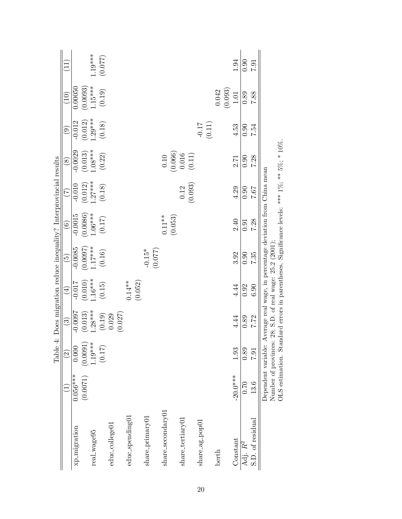|                              |                     | Table                                                    |                        |                     |                      | 4: Does migration reduce inequality? Interprovincial results                                |                     |                                                         |           |                       |           |
|------------------------------|---------------------|----------------------------------------------------------|------------------------|---------------------|----------------------|---------------------------------------------------------------------------------------------|---------------------|---------------------------------------------------------|-----------|-----------------------|-----------|
|                              |                     | $\widehat{2}$                                            | $\widehat{\mathbb{C}}$ | $\bigoplus$         | $\widetilde{\Theta}$ | $\widehat{6}$                                                                               | E                   | $\circledS$                                             | ම         | $\left(10\right)$     | $\Xi$     |
| xp_migration                 | $0.056***$          | 0.000                                                    | $-0.0097$              | $-0.017$            | $-0.0085$            | $-0.0015$                                                                                   | $-0.010$            | $-0.0029$                                               | $-0.012$  | 0.00050               |           |
|                              | (0.0071)            | (0.0091)                                                 | (0.013)                | (0.010)             | (0.0097)             | (0.0086)                                                                                    | (0.012)             | (0.013)                                                 | (0.012)   | $(0.0093)$<br>1.15*** |           |
| real_wage95                  |                     | $1.19***$                                                | $1.28***$              | $1.16***$           | $1.17***$            | $1.06***$                                                                                   | $1.27***$           | $1.08***$                                               | $1.29***$ |                       | $1.19***$ |
|                              |                     | (0.17)                                                   | $(0.19)$               | $\left(0.15\right)$ | (0.16)               | (0.17)                                                                                      | (0.18)              | (0.22)                                                  | (0.18)    | (0.19)                | (770.0)   |
| educ_college01               |                     |                                                          | 0.029                  |                     |                      |                                                                                             |                     |                                                         |           |                       |           |
|                              |                     |                                                          | (0.027)                |                     |                      |                                                                                             |                     |                                                         |           |                       |           |
| educ_spending01              |                     |                                                          |                        | (0.052)<br>$0.14**$ |                      |                                                                                             |                     |                                                         |           |                       |           |
| share <sub>-</sub> primary01 |                     |                                                          |                        |                     | $-0.15*$             |                                                                                             |                     |                                                         |           |                       |           |
|                              |                     |                                                          |                        |                     | (0.077)              |                                                                                             |                     |                                                         |           |                       |           |
| ${\rm share\_secondary01}$   |                     |                                                          |                        |                     |                      | $0.11**$                                                                                    |                     | $\begin{array}{c} 0.10 \\ (0.066) \\ 0.016 \end{array}$ |           |                       |           |
|                              |                     |                                                          |                        |                     |                      | (0.053)                                                                                     |                     |                                                         |           |                       |           |
| share_tertiary01             |                     |                                                          |                        |                     |                      |                                                                                             | (0.093)<br>$0.12\,$ | (0.11)                                                  |           |                       |           |
| share_ag_pop01               |                     |                                                          |                        |                     |                      |                                                                                             |                     |                                                         | $-0.17$   |                       |           |
|                              |                     |                                                          |                        |                     |                      |                                                                                             |                     |                                                         | (0.11)    |                       |           |
| berth                        |                     |                                                          |                        |                     |                      |                                                                                             |                     |                                                         |           | 0.042                 |           |
|                              |                     |                                                          |                        |                     |                      |                                                                                             |                     |                                                         |           | (0.093)               |           |
| Constant                     | $-20.0***$          | 1.93                                                     | 4.44                   | 4.44                | 3.92                 | 2.40                                                                                        | 4.29                | 2.71                                                    | 4.53      | $1.01\,$              | 1.94      |
| Adj. $R^2$                   | 0.70                | 0.89                                                     | 0.89                   | 0.92                | 0.90                 | 0.91                                                                                        | 0.90                | 0.90                                                    | 0.90      | 0.89                  | 0.90      |
| S.D. of residual             | 13.6                | <b>L62</b>                                               | 7.72                   | 0.30                | 7.35                 | 7.28                                                                                        | 7.67                | 7.28                                                    | 7.54      | 7.88                  | 1.6.7     |
|                              | Dependent variable: |                                                          |                        |                     |                      | Average real wage, in percentage deviation from China mean                                  |                     |                                                         |           |                       |           |
|                              |                     | Number of provinces: 28; S.D. of real wage: 25.2 (2001); |                        |                     |                      |                                                                                             |                     |                                                         |           |                       |           |
|                              |                     |                                                          |                        |                     |                      | OLS estimation. Standard errors in parentheses. Significance levels: **** 1%, ** 5%, * 10%. |                     |                                                         |           |                       |           |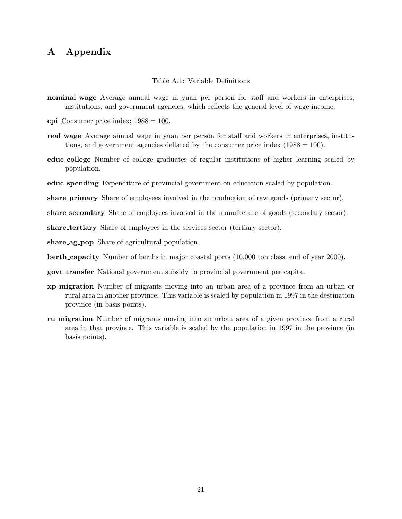# A Appendix

Table A.1: Variable Definitions

- nominal wage Average annual wage in yuan per person for staff and workers in enterprises, institutions, and government agencies, which reflects the general level of wage income.
- cpi Consumer price index;  $1988 = 100$ .
- real wage Average annual wage in yuan per person for staff and workers in enterprises, institutions, and government agencies deflated by the consumer price index  $(1988 = 100)$ .
- educ college Number of college graduates of regular institutions of higher learning scaled by population.
- educ spending Expenditure of provincial government on education scaled by population.

share primary Share of employees involved in the production of raw goods (primary sector).

share\_secondary Share of employees involved in the manufacture of goods (secondary sector).

share tertiary Share of employees in the services sector (tertiary sector).

share ag pop Share of agricultural population.

berth capacity Number of berths in major coastal ports (10,000 ton class, end of year 2000).

- govt transfer National government subsidy to provincial government per capita.
- xp migration Number of migrants moving into an urban area of a province from an urban or rural area in another province. This variable is scaled by population in 1997 in the destination province (in basis points).
- ru migration Number of migrants moving into an urban area of a given province from a rural area in that province. This variable is scaled by the population in 1997 in the province (in basis points).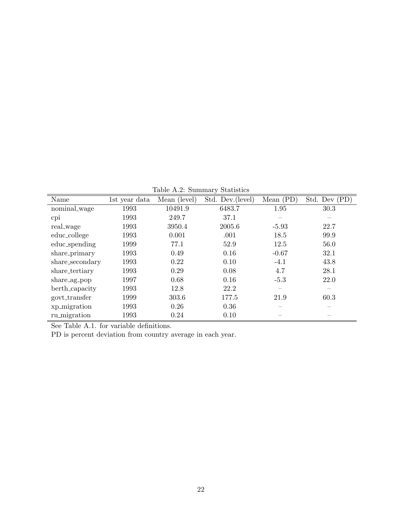Table A.2: Summary Statistics

| 1st year data | Mean (level) | Std. Dev.(level) | Mean $(PD)$ | Std. Dev (PD) |
|---------------|--------------|------------------|-------------|---------------|
| 1993          | 10491.9      | 6483.7           | 1.95        | 30.3          |
| 1993          | 249.7        | 37.1             |             |               |
| 1993          | 3950.4       | 2005.6           | $-5.93$     | 22.7          |
| 1993          | 0.001        | .001             | 18.5        | 99.9          |
| 1999          | 77.1         | 52.9             | 12.5        | 56.0          |
| 1993          | 0.49         | 0.16             | $-0.67$     | 32.1          |
| 1993          | 0.22         | 0.10             | $-4.1$      | 43.8          |
| 1993          | 0.29         | 0.08             | 4.7         | 28.1          |
| 1997          | 0.68         | 0.16             | $-5.3$      | 22.0          |
| 1993          | 12.8         | 22.2             | —           |               |
| 1999          | 303.6        | 177.5            | 21.9        | 60.3          |
| 1993          | 0.26         | 0.36             |             |               |
| 1993          | 0.24         | 0.10             |             |               |
|               |              |                  |             |               |

See Table A.1. for variable definitions.

PD is percent deviation from country average in each year.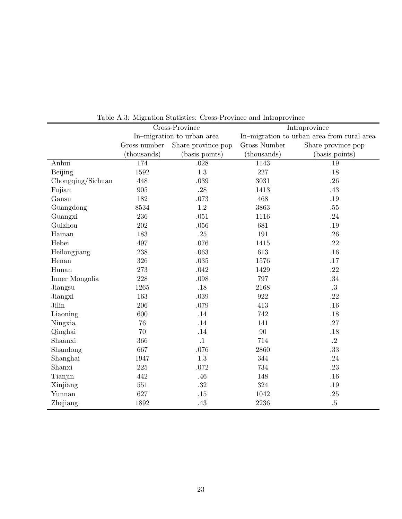|                   |              | Cross-Province             |                     | Intraprovince                              |
|-------------------|--------------|----------------------------|---------------------|--------------------------------------------|
|                   |              | In-migration to urban area |                     | In-migration to urban area from rural area |
|                   | Gross number | Share province pop         | <b>Gross Number</b> | Share province pop                         |
|                   | (thousands)  | (basis points)             | (thousands)         | (basis points)                             |
| Anhui             | 174          | .028                       | 1143                | .19                                        |
| Beijing           | 1592         | 1.3                        | 227                 | .18                                        |
| Chongqing/Sichuan | 448          | .039                       | 3031                | .26                                        |
| Fujian            | 905          | .28                        | 1413                | .43                                        |
| Gansu             | 182          | .073                       | 468                 | .19                                        |
| Guangdong         | 8534         | 1.2                        | 3863                | .55                                        |
| Guangxi           | 236          | .051                       | 1116                | .24                                        |
| Guizhou           | 202          | .056                       | 681                 | .19                                        |
| Hainan            | 183          | .25                        | 191                 | .26                                        |
| Hebei             | 497          | .076                       | 1415                | .22                                        |
| Heilongjiang      | 238          | .063                       | 613                 | .16                                        |
| Henan             | 326          | .035                       | 1576                | .17                                        |
| Hunan             | 273          | .042                       | 1429                | .22                                        |
| Inner Mongolia    | 228          | .098                       | 797                 | .34                                        |
| Jiangsu           | 1265         | .18                        | 2168                | .3                                         |
| Jiangxi           | 163          | .039                       | 922                 | .22                                        |
| Jilin             | 206          | .079                       | 413                 | .16                                        |
| Liaoning          | 600          | .14                        | 742                 | .18                                        |
| Ningxia           | 76           | .14                        | 141                 | .27                                        |
| Qinghai           | 70           | .14                        | 90                  | .18                                        |
| Shaanxi           | 366          | $\cdot$ 1                  | 714                 | $\cdot$ 2                                  |
| Shandong          | 667          | .076                       | 2860                | $.33\,$                                    |
| Shanghai          | 1947         | 1.3                        | 344                 | .24                                        |
| Shanxi            | 225          | .072                       | 734                 | .23                                        |
| Tianjin           | 442          | .46                        | 148                 | .16                                        |
| Xinjiang          | 551          | $.32\,$                    | $324\,$             | $.19\,$                                    |
| Yunnan            | 627          | .15                        | 1042                | $.25\,$                                    |
| Zhejiang          | 1892         | .43                        | 2236                | $.5\,$                                     |

Table A.3: Migration Statistics: Cross-Province and Intraprovince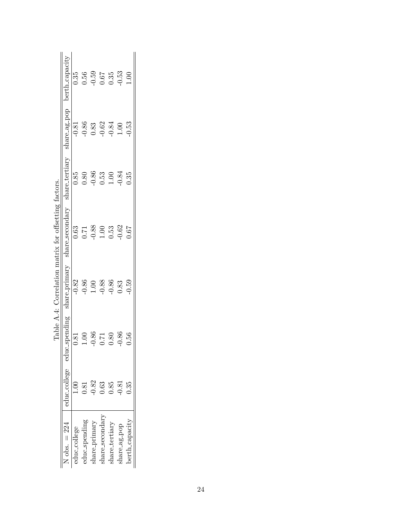|                 |      |                            | Table A.4: Correlation matrix for offsetting factors. |                                                              |                                             |                                                               |                             |
|-----------------|------|----------------------------|-------------------------------------------------------|--------------------------------------------------------------|---------------------------------------------|---------------------------------------------------------------|-----------------------------|
| N obs. $= 224$  |      | educ_college educ_spending | share_primary                                         | share_secondary                                              | share_tertiary                              |                                                               | share_ag_pop berth_capacity |
| educ_college    |      | $\ddot{s}$                 | $-0.82$                                               | 0.63                                                         | 0.85                                        |                                                               | 0.35                        |
| educ_spending   | 0.81 | 00                         | $-0.86$<br>$1.00$<br>$-0.88$<br>$-0.36$               | $\begin{array}{c} 0.71 \\ -0.88 \\ 1.00 \\ 0.53 \end{array}$ | $0.80$<br>$-0.86$                           | $-0.81$<br>$-0.83$<br>$-0.62$<br>$-0.62$<br>$-0.84$<br>$1.00$ | 0.56                        |
| share-primary   | 0.82 | .86<br>٢                   |                                                       |                                                              |                                             |                                                               |                             |
| share_secondary | 0.63 | 17.                        |                                                       |                                                              |                                             |                                                               | $-0.59$<br>0.67<br>0.35     |
| share_tertiary  | 0.85 | 80                         |                                                       |                                                              | $\begin{array}{c} 0.53 \\ 1.00 \end{array}$ |                                                               |                             |
| share_ag_pop    | 0.81 | 86.<br>٢                   | 0.83                                                  | 0.62                                                         | 0.84                                        |                                                               | $-0.53$                     |
| berth_capacity  | 0.35 | 56                         | 0.59                                                  | 167                                                          | 0.35                                        | 0.53                                                          | 00.1                        |

| $+1102$ to $-102$              |  |
|--------------------------------|--|
| $\frac{1}{2}$<br>Î             |  |
| r<br>Civit<br>I<br>)           |  |
| i matrix i                     |  |
| $-2$<br><b>Contractor</b><br>Ì |  |
| .<br>.<br>.                    |  |
| ă<br>ł                         |  |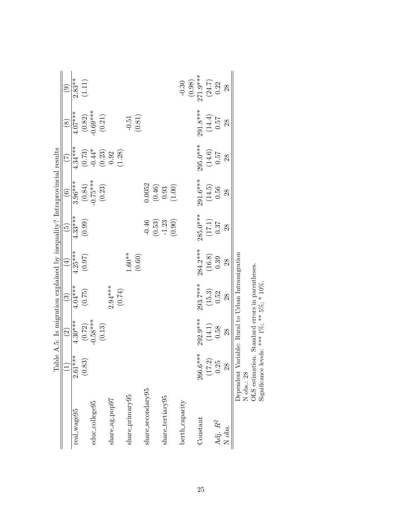|                              |                  | Table A.5: Is migration explained by inequality? Intraprovincial results                                  |                        |             |                                               |                                                         |                                                                   |                                    |                        |
|------------------------------|------------------|-----------------------------------------------------------------------------------------------------------|------------------------|-------------|-----------------------------------------------|---------------------------------------------------------|-------------------------------------------------------------------|------------------------------------|------------------------|
|                              | $\Xi$            | $\widehat{\mathfrak{O}}$                                                                                  | $\widehat{\mathbb{G}}$ | $\bigoplus$ | $\widetilde{5}$                               | $\widehat{\odot}$                                       | $\widehat{\mathcal{L}}$                                           | $\circledS$                        | $\widehat{\mathbf{e}}$ |
| real_wage95                  | $2.61***$        | $4.30***$                                                                                                 | 4.04***                | $4.25***$   | $4.33***$                                     | $3.96***$                                               | 4.34****                                                          | 4.07****                           | $2.83***$              |
|                              | (0.83)           | $(0.72)$<br>-0.58***                                                                                      | (0.75)                 | (0.97)      | (0.99)                                        | $(0.84)$<br>-0.75***                                    |                                                                   |                                    | $(1.11)$               |
| educ_college95               |                  |                                                                                                           |                        |             |                                               |                                                         |                                                                   |                                    |                        |
|                              |                  | $\left(0.13\right)$                                                                                       |                        |             |                                               | $\left(0.23\right)$                                     | $\begin{array}{c} (0.73) \\ \text{-}0.44^* \\ (0.23) \end{array}$ | $(0.82)$<br>$-0.69***$<br>$(0.21)$ |                        |
| share_ag-pop97               |                  |                                                                                                           | $2.94***$              |             |                                               |                                                         | $0.92\,$                                                          |                                    |                        |
|                              |                  |                                                                                                           | (6.74)                 |             |                                               |                                                         | (1.28)                                                            |                                    |                        |
| share <sub>-</sub> primary95 |                  |                                                                                                           |                        | $1.60***$   |                                               |                                                         |                                                                   | $-0.51$                            |                        |
|                              |                  |                                                                                                           |                        | (0.60)      |                                               |                                                         |                                                                   | (0.81)                             |                        |
| share_secondary95            |                  |                                                                                                           |                        |             | $-0.46$                                       | 0.0052                                                  |                                                                   |                                    |                        |
|                              |                  |                                                                                                           |                        |             | $(0.53)$<br>-1.23                             | $\begin{array}{c} (0.46) \\ 0.93 \\ (1.00) \end{array}$ |                                                                   |                                    |                        |
| share_tertiary95             |                  |                                                                                                           |                        |             |                                               |                                                         |                                                                   |                                    |                        |
|                              |                  |                                                                                                           |                        |             | (0.90)                                        |                                                         |                                                                   |                                    |                        |
| berth_capacity               |                  |                                                                                                           |                        |             |                                               |                                                         |                                                                   |                                    | $-0.30$                |
|                              |                  |                                                                                                           |                        |             |                                               |                                                         |                                                                   |                                    | (0.98)                 |
| Constant                     | 266.6***         | 292.9***                                                                                                  | 293.7***               | $284.2***$  | $285.0***$                                    | $291.6***$                                              | $295.0***$                                                        | $291.8***$                         | $271.9***$             |
|                              | $(17.2)$<br>0.25 | $\left( 14.1\right)$                                                                                      | (15.3)                 | (16.8)      | $\begin{array}{c} (17.1) \\ 0.37 \end{array}$ | (14.5)                                                  | (14.6)                                                            | (14.4)                             | $(24.7)$<br>0.22       |
| Adj. $\mathbb{R}^2$          |                  | 0.58                                                                                                      | 0.52                   | 0.39        |                                               | 0.56                                                    | 75.0                                                              | $0.57\,$                           |                        |
| N obs.                       | $^{28}$          | 28                                                                                                        | 28                     | 28          | 28                                            | 28                                                      | 28                                                                | 28                                 | 28                     |
| N obs.: 28                   |                  | Dependent Variable: Rural to Urban Intramigration                                                         |                        |             |                                               |                                                         |                                                                   |                                    |                        |
|                              |                  | OLS estimation. Standard errors in parentheses.<br>Significance levels: *** $1\%$ ; ** $5\%$ ; * $10\%$ . |                        |             |                                               |                                                         |                                                                   |                                    |                        |
|                              |                  |                                                                                                           |                        |             |                                               |                                                         |                                                                   |                                    |                        |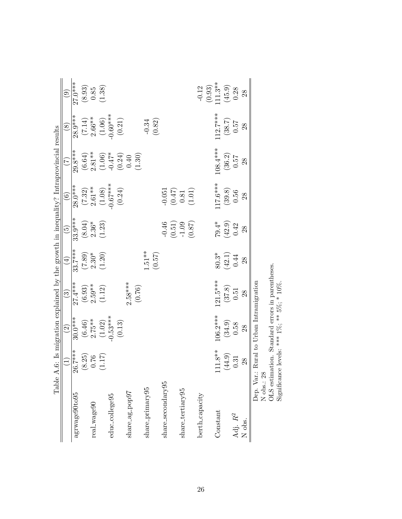|                     |                                     | Table A.6: Is migration explained by the growth in inequality? Intraprovincial results |                                |                   |                                                 |                                                                   |                                                         |                                        |                                               |
|---------------------|-------------------------------------|----------------------------------------------------------------------------------------|--------------------------------|-------------------|-------------------------------------------------|-------------------------------------------------------------------|---------------------------------------------------------|----------------------------------------|-----------------------------------------------|
|                     | $\widehat{\Xi}$                     | $\widehat{\mathfrak{O}}$                                                               | $\widehat{\mathbb{C}}$         | $(\pm)$           | $\widetilde{\mathbb{G}}$                        | $\widehat{\odot}$                                                 | E                                                       | $\circledast$                          | ම                                             |
| agrwage90to95       | $26.7***$<br>$\mathbf{\mathcal{C}}$ | $30.0***$                                                                              | $27.4***$                      | $33.7***$         | $33.9***$                                       | $28.0***$                                                         | $29.8***$                                               | $28.9***$                              | $27.0***$                                     |
|                     | (8.25)                              | $(6.46)$<br>2.75 **                                                                    | $\left( 6.93\right)$ $2.59***$ | $(7.89)$<br>2.30* | $\begin{array}{c} (8.04) \\ 2.36^* \end{array}$ | $(7.32)$ $2.61**$                                                 | $\begin{array}{c} (6.64) \\ 2.81*** \end{array}$        |                                        | $\begin{array}{c} (8.93) \\ 0.85 \end{array}$ |
| real_wage90         | $0.76$                              |                                                                                        |                                |                   |                                                 |                                                                   |                                                         |                                        |                                               |
|                     | (1.17)                              | $(1.02)$<br>$-0.53***$                                                                 | (1.12)                         | (1.20)            | (1.23)                                          | $(1.08)$<br>$-0.67***$<br>$(0.24)$                                | $(1.06)$<br>-0.47*                                      | $(7.14)$<br>2.66**<br>(1.06)<br>(1.06) | (1.38)                                        |
| educ_college95      |                                     |                                                                                        |                                |                   |                                                 |                                                                   |                                                         |                                        |                                               |
|                     |                                     | $\left(0.13\right)$                                                                    |                                |                   |                                                 |                                                                   | $\begin{array}{c} (0.24) \\ 0.40 \\ (1.30) \end{array}$ | $(0.21)$                               |                                               |
| share_ag_pop97      |                                     |                                                                                        | $2.58***$                      |                   |                                                 |                                                                   |                                                         |                                        |                                               |
|                     |                                     |                                                                                        | (0.76)                         |                   |                                                 |                                                                   |                                                         |                                        |                                               |
| share-primary95     |                                     |                                                                                        |                                | $1.51**$          |                                                 |                                                                   |                                                         | $-0.34$                                |                                               |
|                     |                                     |                                                                                        |                                | (0.57)            |                                                 |                                                                   |                                                         | $(0.82)$                               |                                               |
| share_secondary95   |                                     |                                                                                        |                                |                   | $-0.46$                                         |                                                                   |                                                         |                                        |                                               |
|                     |                                     |                                                                                        |                                |                   | $(0.51)$<br>-1.09                               | $\begin{array}{c} -0.051 \\ (0.47) \\ 0.81 \\ (1.01) \end{array}$ |                                                         |                                        |                                               |
| share_tertiary95    |                                     |                                                                                        |                                |                   |                                                 |                                                                   |                                                         |                                        |                                               |
|                     |                                     |                                                                                        |                                |                   | (0.87)                                          |                                                                   |                                                         |                                        |                                               |
| berth_capacity      |                                     |                                                                                        |                                |                   |                                                 |                                                                   |                                                         |                                        | $-0.12$                                       |
|                     |                                     |                                                                                        |                                |                   |                                                 |                                                                   |                                                         |                                        | $(0.93)$<br>111.3**                           |
| Constant            | $11.8**$                            | 106.2***                                                                               | $121.5***$                     | $80.3^\ast$       |                                                 | $17.6***$                                                         | $108.4***$                                              | $112.7***$                             |                                               |
|                     | (44.9)                              | $\begin{array}{c} (34.9) \\ 0.58 \end{array}$                                          | (37.8)                         | $(42.1)$<br>0.44  | $79.4*$<br>$(42.9)$<br>$0.42$                   | $\begin{array}{c} (39.8) \\ 0.56 \end{array}$                     | $\begin{array}{c} (36.2) \\ 0.57 \end{array}$           | (38.7)                                 | $(45.9)$<br>0.28                              |
| Adj. $\mathbb{R}^2$ | 0.31                                |                                                                                        | 0.51                           |                   |                                                 |                                                                   |                                                         | 757                                    |                                               |
| N obs.              | 28                                  | 28                                                                                     | 28                             | 28                | 28                                              | 28                                                                | 28                                                      | 28                                     | 28                                            |
| Dep. Var.:          |                                     | Rural to Urban Intramigration                                                          |                                |                   |                                                 |                                                                   |                                                         |                                        |                                               |
| N obs.: 28          |                                     |                                                                                        |                                |                   |                                                 |                                                                   |                                                         |                                        |                                               |
|                     |                                     | OLS estimation. Standard errors in parentheses.                                        |                                |                   |                                                 |                                                                   |                                                         |                                        |                                               |
|                     |                                     | Significance levels: *** $1\%$ ; ** $5\%$ ; * $10\%$ .                                 |                                |                   |                                                 |                                                                   |                                                         |                                        |                                               |